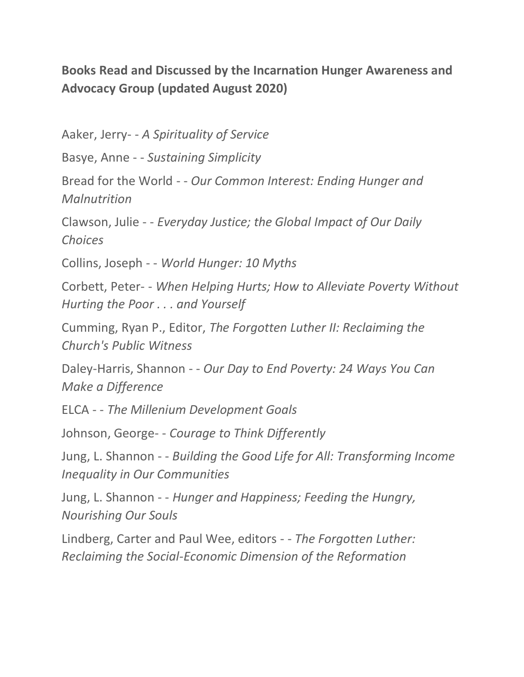## **Books Read and Discussed by the Incarnation Hunger Awareness and Advocacy Group (updated August 2020)**

Aaker, Jerry- - *A Spirituality of Service*

Basye, Anne - - *Sustaining Simplicity*

Bread for the World - - *Our Common Interest: Ending Hunger and Malnutrition*

Clawson, Julie - - *Everyday Justice; the Global Impact of Our Daily Choices*

Collins, Joseph - - *World Hunger: 10 Myths*

Corbett, Peter- - *When Helping Hurts; How to Alleviate Poverty Without Hurting the Poor . . . and Yourself*

Cumming, Ryan P., Editor, *The Forgotten Luther II: Reclaiming the Church's Public Witness*

Daley-Harris, Shannon - - *Our Day to End Poverty: 24 Ways You Can Make a Difference*

ELCA - - *The Millenium Development Goals*

Johnson, George- - *Courage to Think Differently*

Jung, L. Shannon - - *Building the Good Life for All: Transforming Income Inequality in Our Communities*

Jung, L. Shannon - - *Hunger and Happiness; Feeding the Hungry, Nourishing Our Souls*

Lindberg, Carter and Paul Wee, editors - - *The Forgotten Luther: Reclaiming the Social-Economic Dimension of the Reformation*